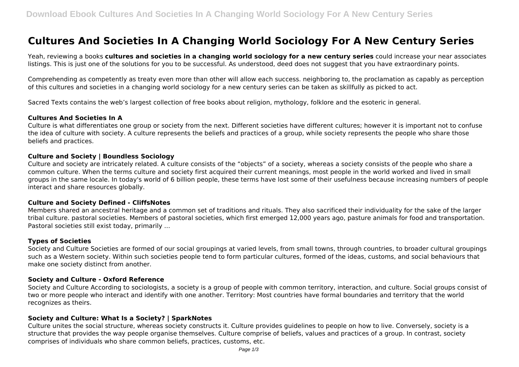# **Cultures And Societies In A Changing World Sociology For A New Century Series**

Yeah, reviewing a books **cultures and societies in a changing world sociology for a new century series** could increase your near associates listings. This is just one of the solutions for you to be successful. As understood, deed does not suggest that you have extraordinary points.

Comprehending as competently as treaty even more than other will allow each success. neighboring to, the proclamation as capably as perception of this cultures and societies in a changing world sociology for a new century series can be taken as skillfully as picked to act.

Sacred Texts contains the web's largest collection of free books about religion, mythology, folklore and the esoteric in general.

#### **Cultures And Societies In A**

Culture is what differentiates one group or society from the next. Different societies have different cultures; however it is important not to confuse the idea of culture with society. A culture represents the beliefs and practices of a group, while society represents the people who share those beliefs and practices.

#### **Culture and Society | Boundless Sociology**

Culture and society are intricately related. A culture consists of the "objects" of a society, whereas a society consists of the people who share a common culture. When the terms culture and society first acquired their current meanings, most people in the world worked and lived in small groups in the same locale. In today's world of 6 billion people, these terms have lost some of their usefulness because increasing numbers of people interact and share resources globally.

#### **Culture and Society Defined - CliffsNotes**

Members shared an ancestral heritage and a common set of traditions and rituals. They also sacrificed their individuality for the sake of the larger tribal culture. pastoral societies. Members of pastoral societies, which first emerged 12,000 years ago, pasture animals for food and transportation. Pastoral societies still exist today, primarily ...

#### **Types of Societies**

Society and Culture Societies are formed of our social groupings at varied levels, from small towns, through countries, to broader cultural groupings such as a Western society. Within such societies people tend to form particular cultures, formed of the ideas, customs, and social behaviours that make one society distinct from another.

#### **Society and Culture - Oxford Reference**

Society and Culture According to sociologists, a society is a group of people with common territory, interaction, and culture. Social groups consist of two or more people who interact and identify with one another. Territory: Most countries have formal boundaries and territory that the world recognizes as theirs.

#### **Society and Culture: What Is a Society? | SparkNotes**

Culture unites the social structure, whereas society constructs it. Culture provides guidelines to people on how to live. Conversely, society is a structure that provides the way people organise themselves. Culture comprise of beliefs, values and practices of a group. In contrast, society comprises of individuals who share common beliefs, practices, customs, etc.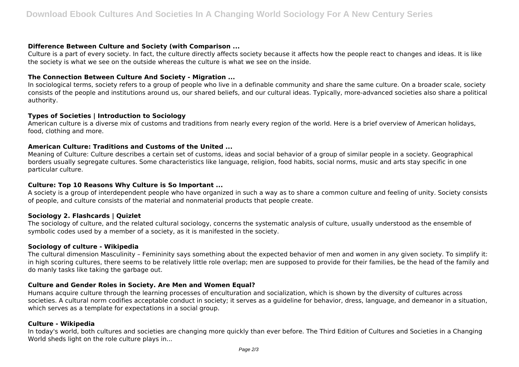## **Difference Between Culture and Society (with Comparison ...**

Culture is a part of every society. In fact, the culture directly affects society because it affects how the people react to changes and ideas. It is like the society is what we see on the outside whereas the culture is what we see on the inside.

# **The Connection Between Culture And Society - Migration ...**

In sociological terms, society refers to a group of people who live in a definable community and share the same culture. On a broader scale, society consists of the people and institutions around us, our shared beliefs, and our cultural ideas. Typically, more-advanced societies also share a political authority.

#### **Types of Societies | Introduction to Sociology**

American culture is a diverse mix of customs and traditions from nearly every region of the world. Here is a brief overview of American holidays, food, clothing and more.

## **American Culture: Traditions and Customs of the United ...**

Meaning of Culture: Culture describes a certain set of customs, ideas and social behavior of a group of similar people in a society. Geographical borders usually segregate cultures. Some characteristics like language, religion, food habits, social norms, music and arts stay specific in one particular culture.

## **Culture: Top 10 Reasons Why Culture is So Important ...**

A society is a group of interdependent people who have organized in such a way as to share a common culture and feeling of unity. Society consists of people, and culture consists of the material and nonmaterial products that people create.

## **Sociology 2. Flashcards | Quizlet**

The sociology of culture, and the related cultural sociology, concerns the systematic analysis of culture, usually understood as the ensemble of symbolic codes used by a member of a society, as it is manifested in the society.

#### **Sociology of culture - Wikipedia**

The cultural dimension Masculinity – Femininity says something about the expected behavior of men and women in any given society. To simplify it: in high scoring cultures, there seems to be relatively little role overlap; men are supposed to provide for their families, be the head of the family and do manly tasks like taking the garbage out.

## **Culture and Gender Roles in Society. Are Men and Women Equal?**

Humans acquire culture through the learning processes of enculturation and socialization, which is shown by the diversity of cultures across societies. A cultural norm codifies acceptable conduct in society; it serves as a guideline for behavior, dress, language, and demeanor in a situation, which serves as a template for expectations in a social group.

#### **Culture - Wikipedia**

In today's world, both cultures and societies are changing more quickly than ever before. The Third Edition of Cultures and Societies in a Changing World sheds light on the role culture plays in...